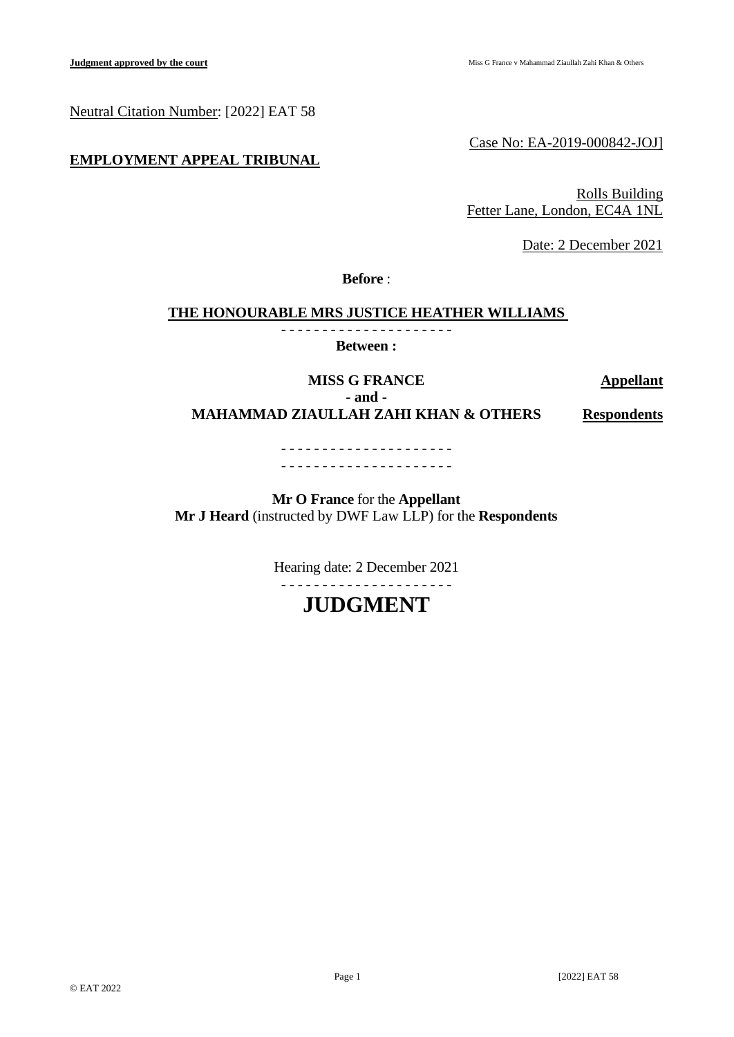Neutral Citation Number: [2022] EAT 58

# **EMPLOYMENT APPEAL TRIBUNAL**

Case No: EA-2019-000842-JOJ]

Rolls Building Fetter Lane, London, EC4A 1NL

Date: 2 December 2021

**Before** :

## **THE HONOURABLE MRS JUSTICE HEATHER WILLIAMS**

- - - - - - - - - - - - - - - - - - - - - **Between :**

**MISS G FRANCE Appellant - and - MAHAMMAD ZIAULLAH ZAHI KHAN & OTHERS Respondents**

> - - - - - - - - - - - - - - - - - - - - - - - - - - - - - - - - - - - - - - - - - -

**Mr O France** for the **Appellant Mr J Heard** (instructed by DWF Law LLP) for the **Respondents**

> Hearing date: 2 December 2021 - - - - - - - - - - - - - - - - - - - - -

> > **JUDGMENT**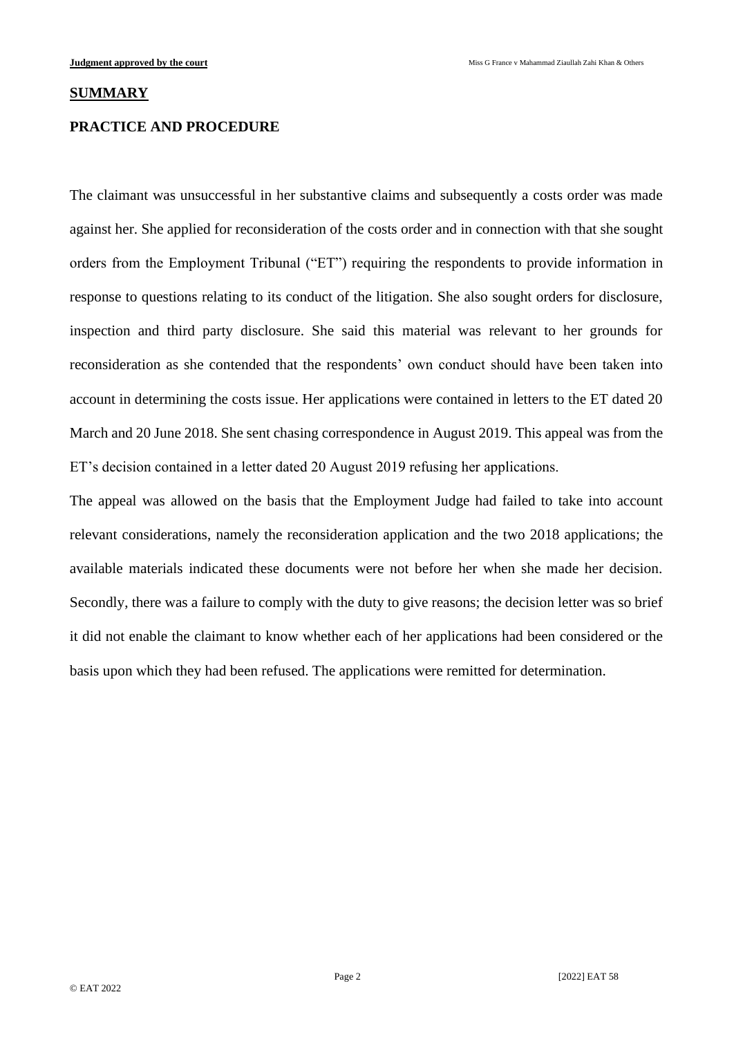#### **SUMMARY**

## **PRACTICE AND PROCEDURE**

The claimant was unsuccessful in her substantive claims and subsequently a costs order was made against her. She applied for reconsideration of the costs order and in connection with that she sought orders from the Employment Tribunal ("ET") requiring the respondents to provide information in response to questions relating to its conduct of the litigation. She also sought orders for disclosure, inspection and third party disclosure. She said this material was relevant to her grounds for reconsideration as she contended that the respondents' own conduct should have been taken into account in determining the costs issue. Her applications were contained in letters to the ET dated 20 March and 20 June 2018. She sent chasing correspondence in August 2019. This appeal was from the ET's decision contained in a letter dated 20 August 2019 refusing her applications.

The appeal was allowed on the basis that the Employment Judge had failed to take into account relevant considerations, namely the reconsideration application and the two 2018 applications; the available materials indicated these documents were not before her when she made her decision. Secondly, there was a failure to comply with the duty to give reasons; the decision letter was so brief it did not enable the claimant to know whether each of her applications had been considered or the basis upon which they had been refused. The applications were remitted for determination.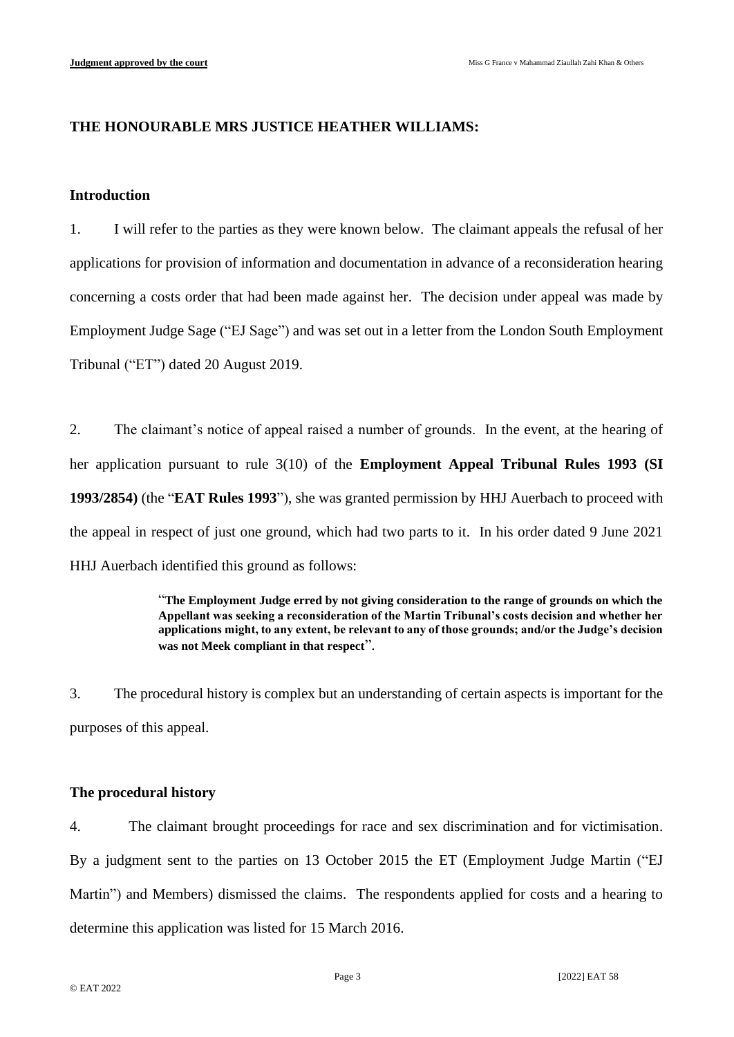# **THE HONOURABLE MRS JUSTICE HEATHER WILLIAMS:**

## **Introduction**

1. I will refer to the parties as they were known below. The claimant appeals the refusal of her applications for provision of information and documentation in advance of a reconsideration hearing concerning a costs order that had been made against her. The decision under appeal was made by Employment Judge Sage ("EJ Sage") and was set out in a letter from the London South Employment Tribunal ("ET") dated 20 August 2019.

2. The claimant's notice of appeal raised a number of grounds. In the event, at the hearing of her application pursuant to rule 3(10) of the **Employment Appeal Tribunal Rules 1993 (SI 1993/2854)** (the "**EAT Rules 1993**"), she was granted permission by HHJ Auerbach to proceed with the appeal in respect of just one ground, which had two parts to it. In his order dated 9 June 2021 HHJ Auerbach identified this ground as follows:

> "**The Employment Judge erred by not giving consideration to the range of grounds on which the Appellant was seeking a reconsideration of the Martin Tribunal's costs decision and whether her applications might, to any extent, be relevant to any of those grounds; and/or the Judge's decision was not Meek compliant in that respect**".

3. The procedural history is complex but an understanding of certain aspects is important for the purposes of this appeal.

## **The procedural history**

4. The claimant brought proceedings for race and sex discrimination and for victimisation. By a judgment sent to the parties on 13 October 2015 the ET (Employment Judge Martin ("EJ Martin") and Members) dismissed the claims. The respondents applied for costs and a hearing to determine this application was listed for 15 March 2016.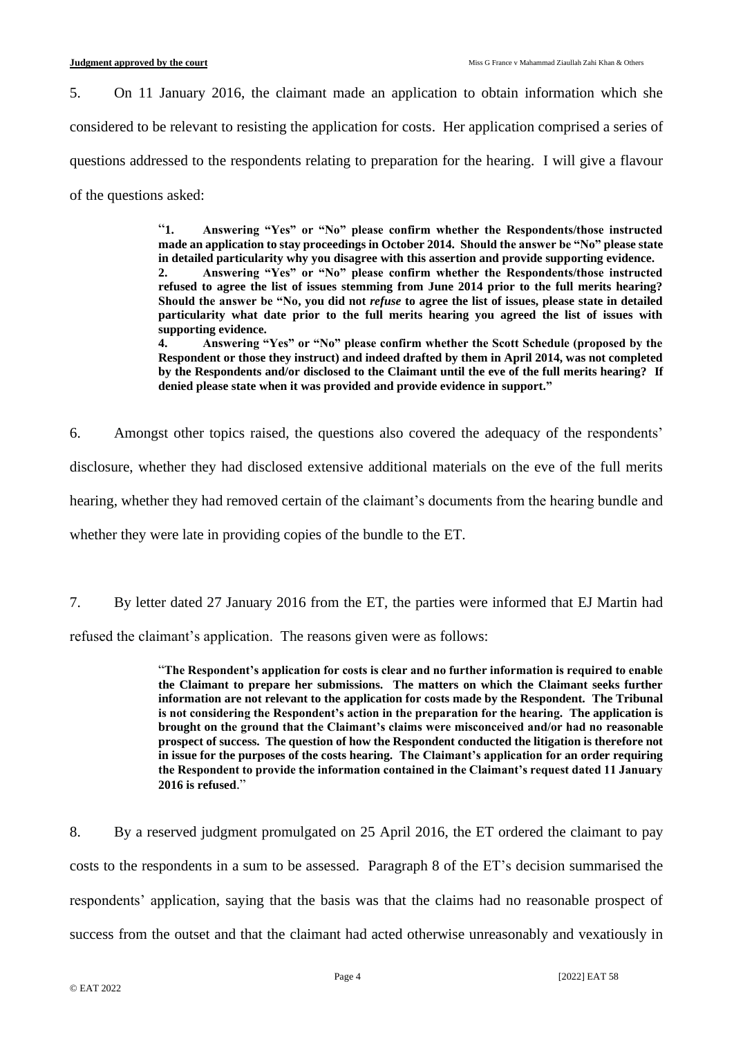5. On 11 January 2016, the claimant made an application to obtain information which she considered to be relevant to resisting the application for costs. Her application comprised a series of questions addressed to the respondents relating to preparation for the hearing. I will give a flavour of the questions asked:

> "**1. Answering "Yes" or "No" please confirm whether the Respondents/those instructed made an application to stay proceedings in October 2014. Should the answer be "No" please state in detailed particularity why you disagree with this assertion and provide supporting evidence. 2. Answering "Yes" or "No" please confirm whether the Respondents/those instructed refused to agree the list of issues stemming from June 2014 prior to the full merits hearing? Should the answer be "No, you did not** *refuse* **to agree the list of issues, please state in detailed particularity what date prior to the full merits hearing you agreed the list of issues with**  supporting evidence.<br>4. **Answering "**

> **4. Answering "Yes" or "No" please confirm whether the Scott Schedule (proposed by the Respondent or those they instruct) and indeed drafted by them in April 2014, was not completed by the Respondents and/or disclosed to the Claimant until the eve of the full merits hearing? If denied please state when it was provided and provide evidence in support."**

6. Amongst other topics raised, the questions also covered the adequacy of the respondents' disclosure, whether they had disclosed extensive additional materials on the eve of the full merits hearing, whether they had removed certain of the claimant's documents from the hearing bundle and whether they were late in providing copies of the bundle to the ET.

7. By letter dated 27 January 2016 from the ET, the parties were informed that EJ Martin had refused the claimant's application. The reasons given were as follows:

> "**The Respondent's application for costs is clear and no further information is required to enable the Claimant to prepare her submissions. The matters on which the Claimant seeks further information are not relevant to the application for costs made by the Respondent. The Tribunal is not considering the Respondent's action in the preparation for the hearing. The application is brought on the ground that the Claimant's claims were misconceived and/or had no reasonable prospect of success. The question of how the Respondent conducted the litigation is therefore not in issue for the purposes of the costs hearing. The Claimant's application for an order requiring the Respondent to provide the information contained in the Claimant's request dated 11 January 2016 is refused**."

8. By a reserved judgment promulgated on 25 April 2016, the ET ordered the claimant to pay costs to the respondents in a sum to be assessed. Paragraph 8 of the ET's decision summarised the respondents' application, saying that the basis was that the claims had no reasonable prospect of success from the outset and that the claimant had acted otherwise unreasonably and vexatiously in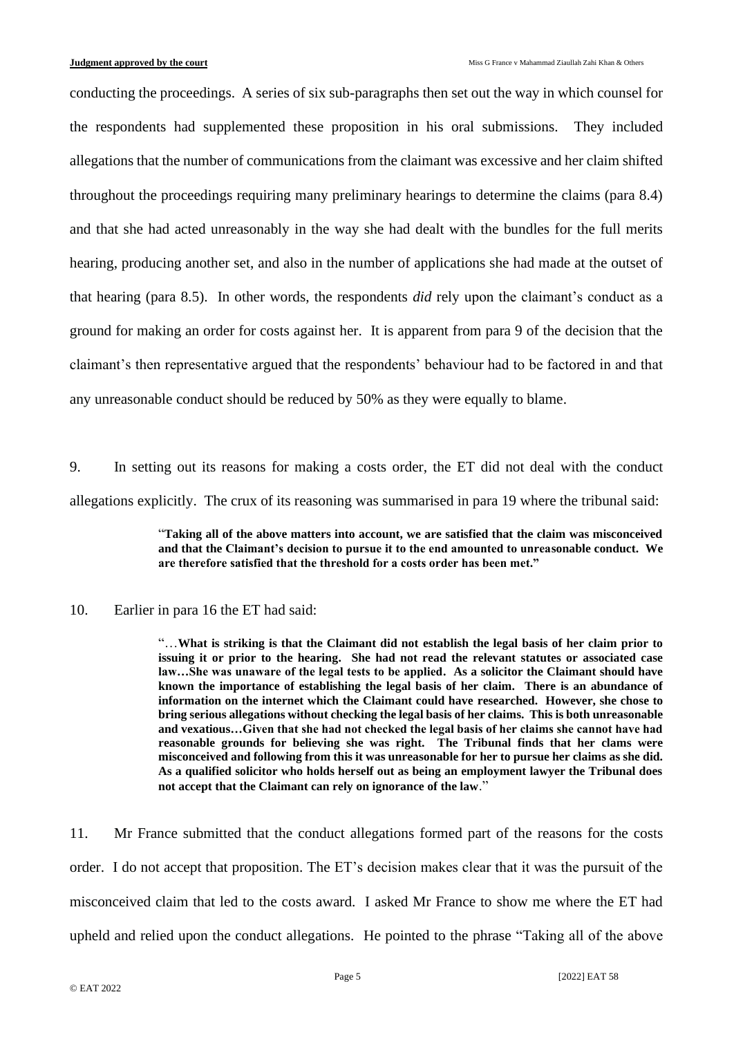conducting the proceedings. A series of six sub-paragraphs then set out the way in which counsel for the respondents had supplemented these proposition in his oral submissions. They included allegations that the number of communications from the claimant was excessive and her claim shifted throughout the proceedings requiring many preliminary hearings to determine the claims (para 8.4) and that she had acted unreasonably in the way she had dealt with the bundles for the full merits hearing, producing another set, and also in the number of applications she had made at the outset of that hearing (para 8.5). In other words, the respondents *did* rely upon the claimant's conduct as a ground for making an order for costs against her. It is apparent from para 9 of the decision that the claimant's then representative argued that the respondents' behaviour had to be factored in and that any unreasonable conduct should be reduced by 50% as they were equally to blame.

9. In setting out its reasons for making a costs order, the ET did not deal with the conduct allegations explicitly. The crux of its reasoning was summarised in para 19 where the tribunal said:

> "**Taking all of the above matters into account, we are satisfied that the claim was misconceived and that the Claimant's decision to pursue it to the end amounted to unreasonable conduct. We are therefore satisfied that the threshold for a costs order has been met."**

## 10. Earlier in para 16 the ET had said:

"…**What is striking is that the Claimant did not establish the legal basis of her claim prior to issuing it or prior to the hearing. She had not read the relevant statutes or associated case law…She was unaware of the legal tests to be applied. As a solicitor the Claimant should have known the importance of establishing the legal basis of her claim. There is an abundance of information on the internet which the Claimant could have researched. However, she chose to bring serious allegations without checking the legal basis of her claims. This is both unreasonable and vexatious…Given that she had not checked the legal basis of her claims she cannot have had reasonable grounds for believing she was right. The Tribunal finds that her clams were misconceived and following from this it was unreasonable for her to pursue her claims as she did. As a qualified solicitor who holds herself out as being an employment lawyer the Tribunal does not accept that the Claimant can rely on ignorance of the law**."

11. Mr France submitted that the conduct allegations formed part of the reasons for the costs order. I do not accept that proposition. The ET's decision makes clear that it was the pursuit of the misconceived claim that led to the costs award. I asked Mr France to show me where the ET had upheld and relied upon the conduct allegations. He pointed to the phrase "Taking all of the above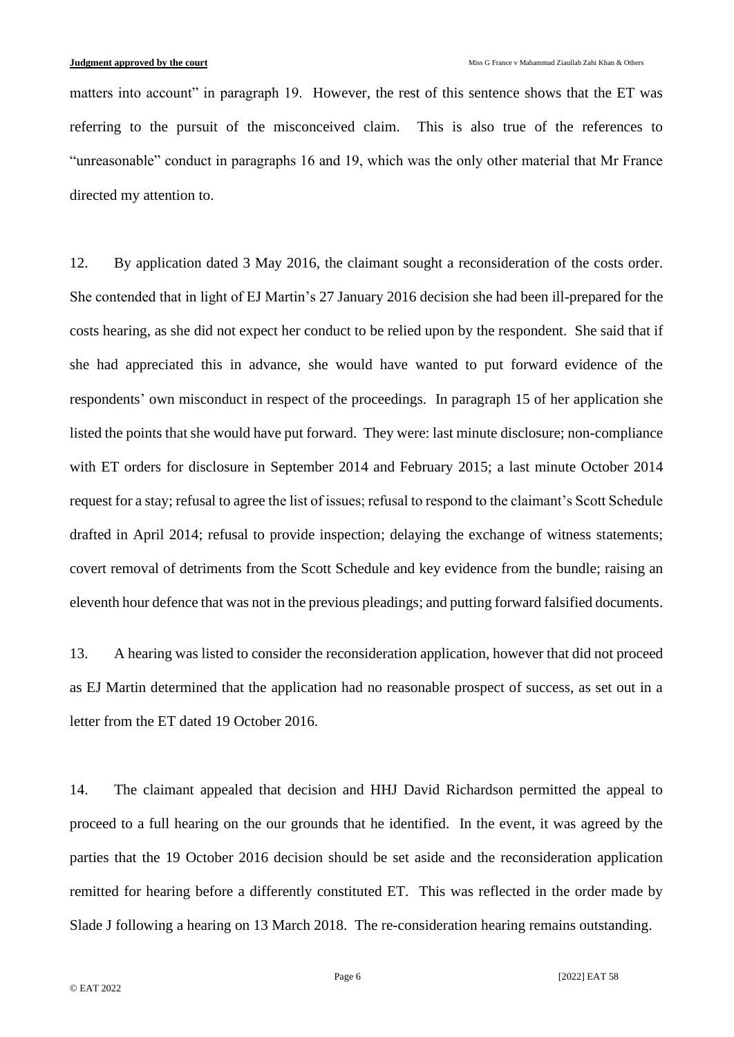matters into account" in paragraph 19. However, the rest of this sentence shows that the ET was referring to the pursuit of the misconceived claim. This is also true of the references to "unreasonable" conduct in paragraphs 16 and 19, which was the only other material that Mr France directed my attention to.

12. By application dated 3 May 2016, the claimant sought a reconsideration of the costs order. She contended that in light of EJ Martin's 27 January 2016 decision she had been ill-prepared for the costs hearing, as she did not expect her conduct to be relied upon by the respondent. She said that if she had appreciated this in advance, she would have wanted to put forward evidence of the respondents' own misconduct in respect of the proceedings. In paragraph 15 of her application she listed the points that she would have put forward. They were: last minute disclosure; non-compliance with ET orders for disclosure in September 2014 and February 2015; a last minute October 2014 request for a stay; refusal to agree the list of issues; refusal to respond to the claimant's Scott Schedule drafted in April 2014; refusal to provide inspection; delaying the exchange of witness statements; covert removal of detriments from the Scott Schedule and key evidence from the bundle; raising an eleventh hour defence that was not in the previous pleadings; and putting forward falsified documents.

13. A hearing was listed to consider the reconsideration application, however that did not proceed as EJ Martin determined that the application had no reasonable prospect of success, as set out in a letter from the ET dated 19 October 2016.

14. The claimant appealed that decision and HHJ David Richardson permitted the appeal to proceed to a full hearing on the our grounds that he identified. In the event, it was agreed by the parties that the 19 October 2016 decision should be set aside and the reconsideration application remitted for hearing before a differently constituted ET. This was reflected in the order made by Slade J following a hearing on 13 March 2018. The re-consideration hearing remains outstanding.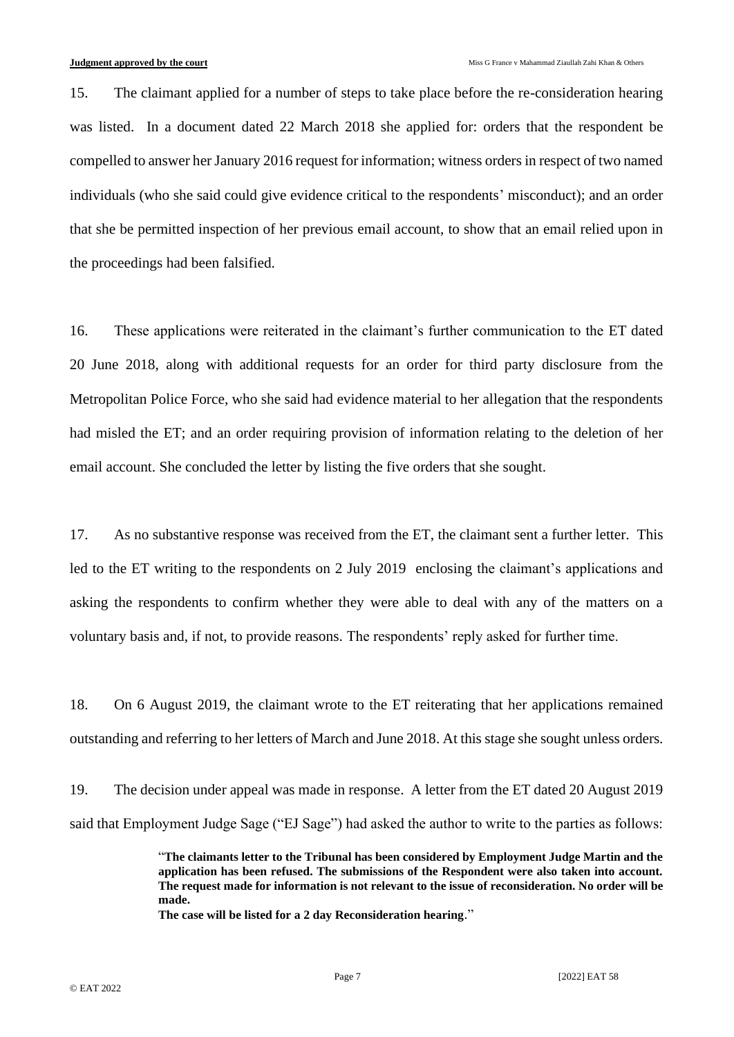15. The claimant applied for a number of steps to take place before the re-consideration hearing was listed. In a document dated 22 March 2018 she applied for: orders that the respondent be compelled to answer her January 2016 request for information; witness orders in respect of two named individuals (who she said could give evidence critical to the respondents' misconduct); and an order that she be permitted inspection of her previous email account, to show that an email relied upon in the proceedings had been falsified.

16. These applications were reiterated in the claimant's further communication to the ET dated 20 June 2018, along with additional requests for an order for third party disclosure from the Metropolitan Police Force, who she said had evidence material to her allegation that the respondents had misled the ET; and an order requiring provision of information relating to the deletion of her email account. She concluded the letter by listing the five orders that she sought.

17. As no substantive response was received from the ET, the claimant sent a further letter. This led to the ET writing to the respondents on 2 July 2019 enclosing the claimant's applications and asking the respondents to confirm whether they were able to deal with any of the matters on a voluntary basis and, if not, to provide reasons. The respondents' reply asked for further time.

18. On 6 August 2019, the claimant wrote to the ET reiterating that her applications remained outstanding and referring to her letters of March and June 2018. At this stage she sought unless orders.

19. The decision under appeal was made in response. A letter from the ET dated 20 August 2019 said that Employment Judge Sage ("EJ Sage") had asked the author to write to the parties as follows:

> "**The claimants letter to the Tribunal has been considered by Employment Judge Martin and the application has been refused. The submissions of the Respondent were also taken into account. The request made for information is not relevant to the issue of reconsideration. No order will be made.**

**The case will be listed for a 2 day Reconsideration hearing**."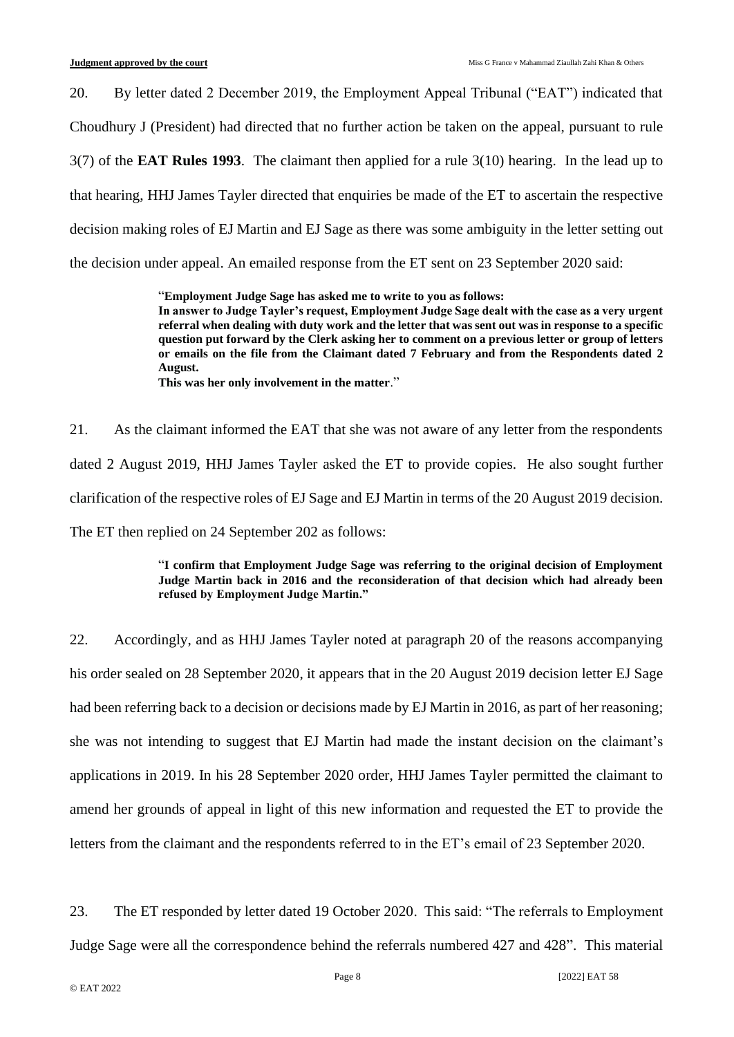20. By letter dated 2 December 2019, the Employment Appeal Tribunal ("EAT") indicated that Choudhury J (President) had directed that no further action be taken on the appeal, pursuant to rule 3(7) of the **EAT Rules 1993**. The claimant then applied for a rule 3(10) hearing. In the lead up to that hearing, HHJ James Tayler directed that enquiries be made of the ET to ascertain the respective decision making roles of EJ Martin and EJ Sage as there was some ambiguity in the letter setting out the decision under appeal. An emailed response from the ET sent on 23 September 2020 said:

> "**Employment Judge Sage has asked me to write to you as follows: In answer to Judge Tayler's request, Employment Judge Sage dealt with the case as a very urgent referral when dealing with duty work and the letter that was sent out was in response to a specific question put forward by the Clerk asking her to comment on a previous letter or group of letters or emails on the file from the Claimant dated 7 February and from the Respondents dated 2 August. This was her only involvement in the matter**."

21. As the claimant informed the EAT that she was not aware of any letter from the respondents dated 2 August 2019, HHJ James Tayler asked the ET to provide copies. He also sought further clarification of the respective roles of EJ Sage and EJ Martin in terms of the 20 August 2019 decision. The ET then replied on 24 September 202 as follows:

#### "**I confirm that Employment Judge Sage was referring to the original decision of Employment Judge Martin back in 2016 and the reconsideration of that decision which had already been refused by Employment Judge Martin."**

22. Accordingly, and as HHJ James Tayler noted at paragraph 20 of the reasons accompanying his order sealed on 28 September 2020, it appears that in the 20 August 2019 decision letter EJ Sage had been referring back to a decision or decisions made by EJ Martin in 2016, as part of her reasoning; she was not intending to suggest that EJ Martin had made the instant decision on the claimant's applications in 2019. In his 28 September 2020 order, HHJ James Tayler permitted the claimant to amend her grounds of appeal in light of this new information and requested the ET to provide the letters from the claimant and the respondents referred to in the ET's email of 23 September 2020.

23. The ET responded by letter dated 19 October 2020. This said: "The referrals to Employment Judge Sage were all the correspondence behind the referrals numbered 427 and 428". This material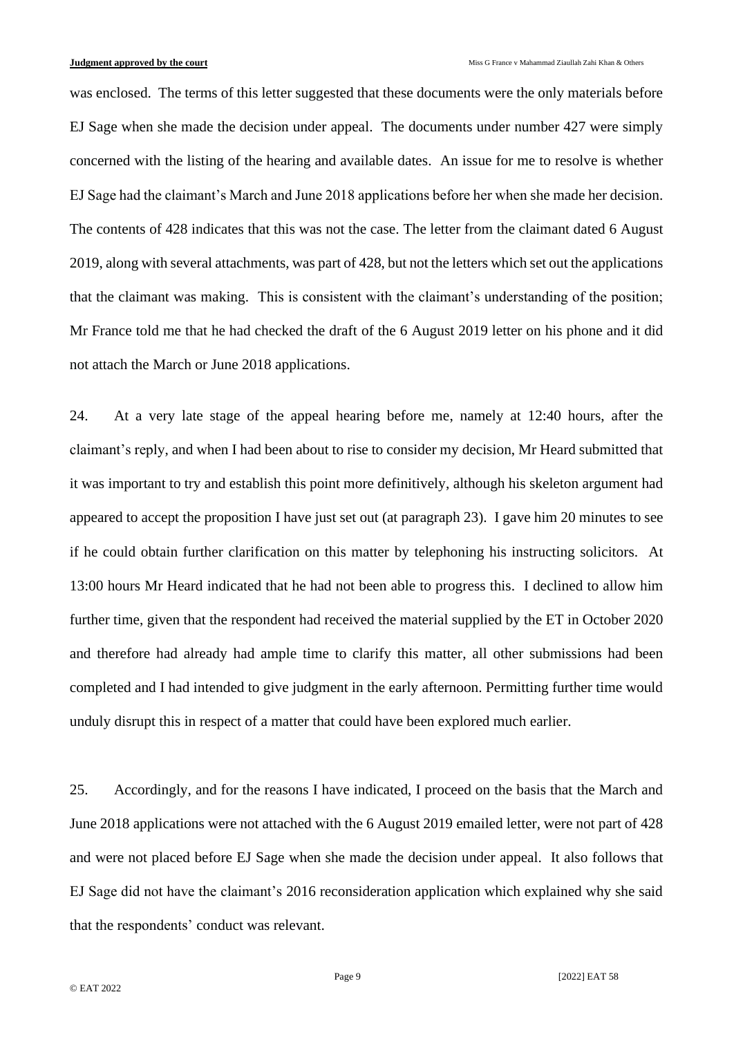was enclosed. The terms of this letter suggested that these documents were the only materials before EJ Sage when she made the decision under appeal. The documents under number 427 were simply concerned with the listing of the hearing and available dates. An issue for me to resolve is whether EJ Sage had the claimant's March and June 2018 applications before her when she made her decision. The contents of 428 indicates that this was not the case. The letter from the claimant dated 6 August 2019, along with several attachments, was part of 428, but not the letters which set out the applications that the claimant was making. This is consistent with the claimant's understanding of the position; Mr France told me that he had checked the draft of the 6 August 2019 letter on his phone and it did not attach the March or June 2018 applications.

24. At a very late stage of the appeal hearing before me, namely at 12:40 hours, after the claimant's reply, and when I had been about to rise to consider my decision, Mr Heard submitted that it was important to try and establish this point more definitively, although his skeleton argument had appeared to accept the proposition I have just set out (at paragraph 23). I gave him 20 minutes to see if he could obtain further clarification on this matter by telephoning his instructing solicitors. At 13:00 hours Mr Heard indicated that he had not been able to progress this. I declined to allow him further time, given that the respondent had received the material supplied by the ET in October 2020 and therefore had already had ample time to clarify this matter, all other submissions had been completed and I had intended to give judgment in the early afternoon. Permitting further time would unduly disrupt this in respect of a matter that could have been explored much earlier.

25. Accordingly, and for the reasons I have indicated, I proceed on the basis that the March and June 2018 applications were not attached with the 6 August 2019 emailed letter, were not part of 428 and were not placed before EJ Sage when she made the decision under appeal. It also follows that EJ Sage did not have the claimant's 2016 reconsideration application which explained why she said that the respondents' conduct was relevant.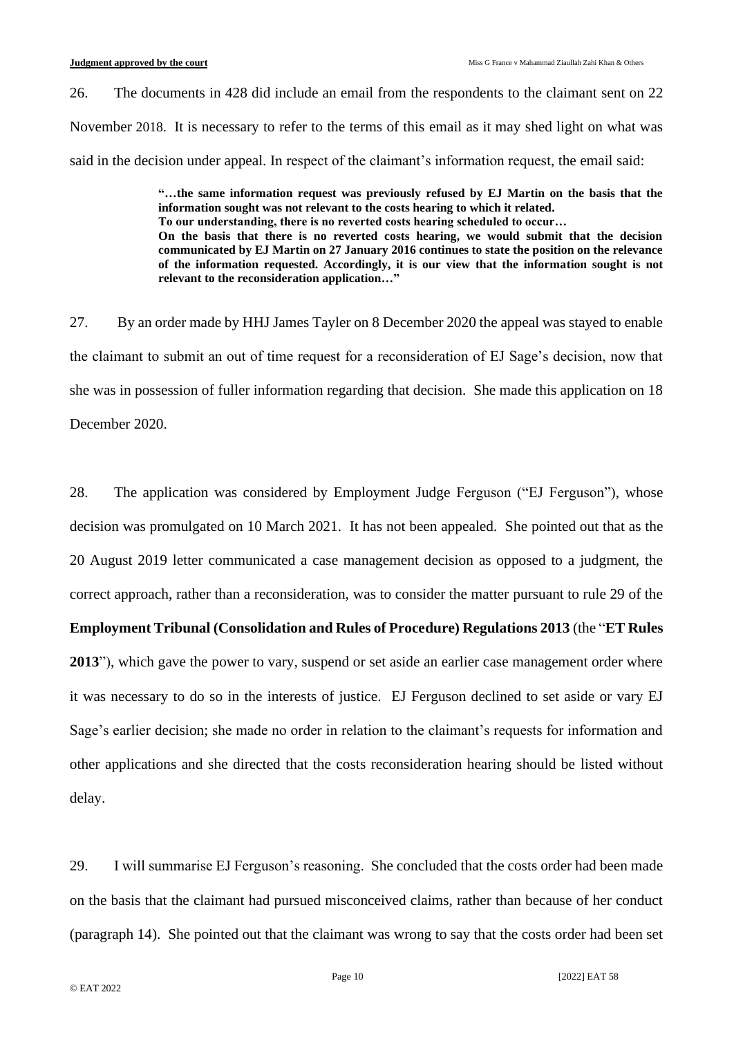26. The documents in 428 did include an email from the respondents to the claimant sent on 22 November 2018. It is necessary to refer to the terms of this email as it may shed light on what was said in the decision under appeal. In respect of the claimant's information request, the email said:

> **"…the same information request was previously refused by EJ Martin on the basis that the information sought was not relevant to the costs hearing to which it related. To our understanding, there is no reverted costs hearing scheduled to occur… On the basis that there is no reverted costs hearing, we would submit that the decision communicated by EJ Martin on 27 January 2016 continues to state the position on the relevance of the information requested. Accordingly, it is our view that the information sought is not relevant to the reconsideration application…"**

27. By an order made by HHJ James Tayler on 8 December 2020 the appeal was stayed to enable the claimant to submit an out of time request for a reconsideration of EJ Sage's decision, now that she was in possession of fuller information regarding that decision. She made this application on 18 December 2020.

28. The application was considered by Employment Judge Ferguson ("EJ Ferguson"), whose decision was promulgated on 10 March 2021. It has not been appealed. She pointed out that as the 20 August 2019 letter communicated a case management decision as opposed to a judgment, the correct approach, rather than a reconsideration, was to consider the matter pursuant to rule 29 of the **Employment Tribunal (Consolidation and Rules of Procedure) Regulations 2013** (the "**ET Rules 2013**"), which gave the power to vary, suspend or set aside an earlier case management order where it was necessary to do so in the interests of justice. EJ Ferguson declined to set aside or vary EJ Sage's earlier decision; she made no order in relation to the claimant's requests for information and other applications and she directed that the costs reconsideration hearing should be listed without delay.

29. I will summarise EJ Ferguson's reasoning. She concluded that the costs order had been made on the basis that the claimant had pursued misconceived claims, rather than because of her conduct (paragraph 14). She pointed out that the claimant was wrong to say that the costs order had been set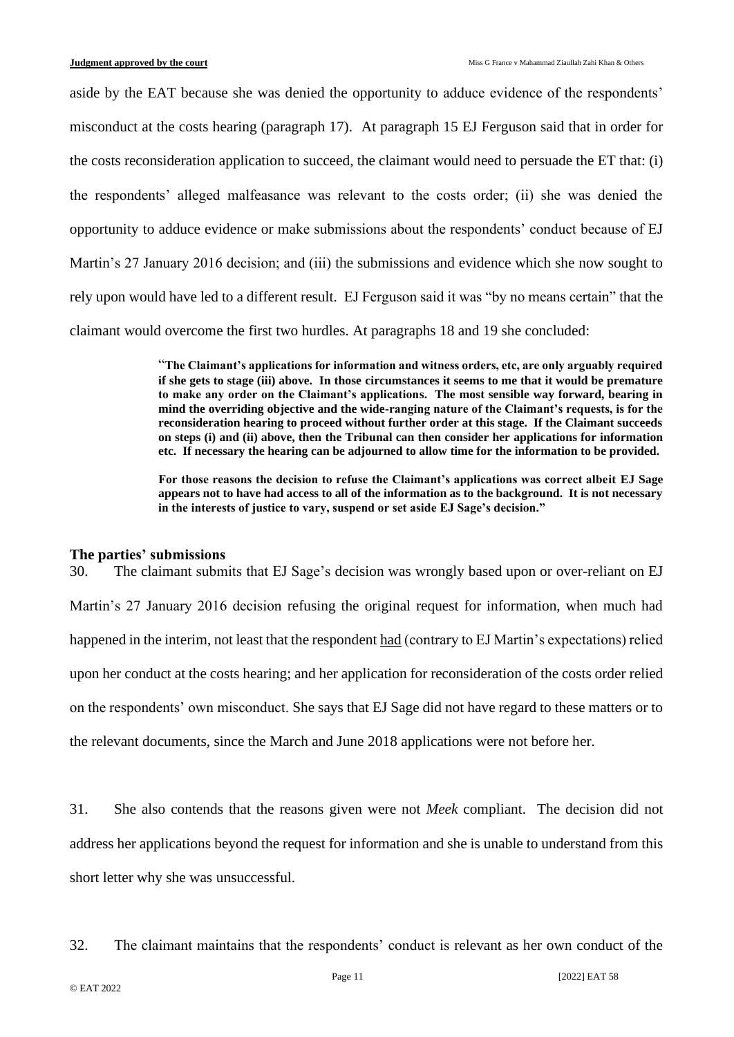aside by the EAT because she was denied the opportunity to adduce evidence of the respondents' misconduct at the costs hearing (paragraph 17). At paragraph 15 EJ Ferguson said that in order for the costs reconsideration application to succeed, the claimant would need to persuade the ET that: (i) the respondents' alleged malfeasance was relevant to the costs order; (ii) she was denied the opportunity to adduce evidence or make submissions about the respondents' conduct because of EJ Martin's 27 January 2016 decision; and (iii) the submissions and evidence which she now sought to rely upon would have led to a different result. EJ Ferguson said it was "by no means certain" that the claimant would overcome the first two hurdles. At paragraphs 18 and 19 she concluded:

> "**The Claimant's applications for information and witness orders, etc, are only arguably required if she gets to stage (iii) above. In those circumstances it seems to me that it would be premature to make any order on the Claimant's applications. The most sensible way forward, bearing in mind the overriding objective and the wide-ranging nature of the Claimant's requests, is for the reconsideration hearing to proceed without further order at this stage. If the Claimant succeeds on steps (i) and (ii) above, then the Tribunal can then consider her applications for information etc. If necessary the hearing can be adjourned to allow time for the information to be provided.**

> **For those reasons the decision to refuse the Claimant's applications was correct albeit EJ Sage appears not to have had access to all of the information as to the background. It is not necessary in the interests of justice to vary, suspend or set aside EJ Sage's decision."**

#### **The parties' submissions**

30. The claimant submits that EJ Sage's decision was wrongly based upon or over-reliant on EJ Martin's 27 January 2016 decision refusing the original request for information, when much had happened in the interim, not least that the respondent had (contrary to EJ Martin's expectations) relied upon her conduct at the costs hearing; and her application for reconsideration of the costs order relied on the respondents' own misconduct. She says that EJ Sage did not have regard to these matters or to the relevant documents, since the March and June 2018 applications were not before her.

31. She also contends that the reasons given were not *Meek* compliant. The decision did not address her applications beyond the request for information and she is unable to understand from this short letter why she was unsuccessful.

32. The claimant maintains that the respondents' conduct is relevant as her own conduct of the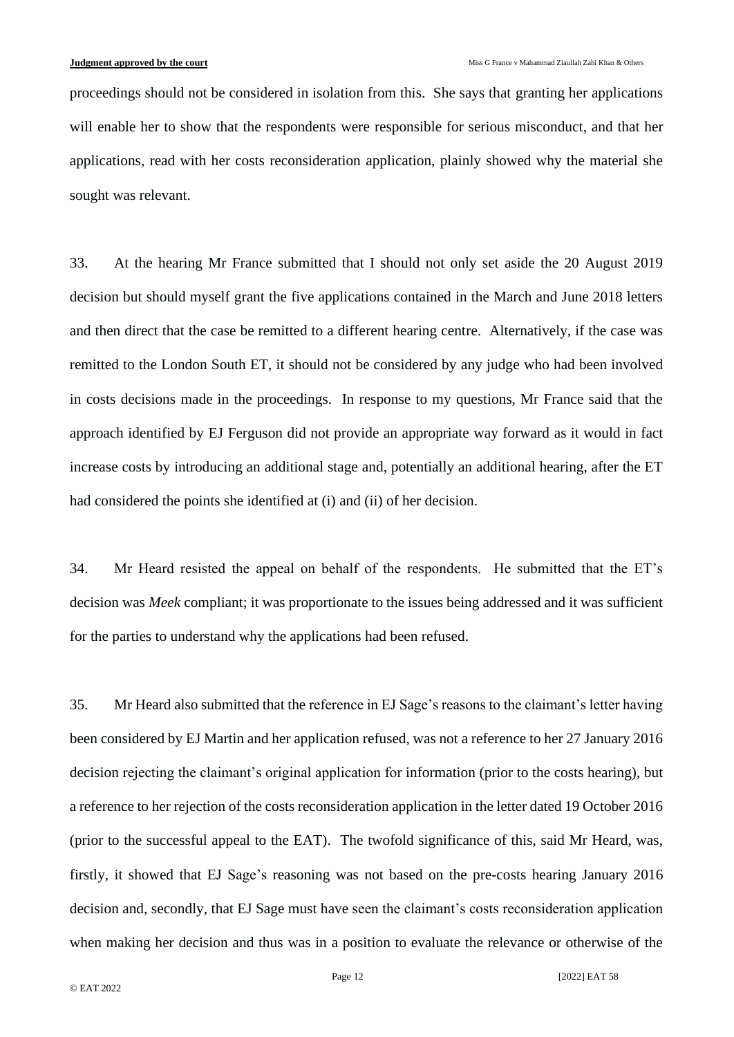proceedings should not be considered in isolation from this. She says that granting her applications will enable her to show that the respondents were responsible for serious misconduct, and that her applications, read with her costs reconsideration application, plainly showed why the material she sought was relevant.

33. At the hearing Mr France submitted that I should not only set aside the 20 August 2019 decision but should myself grant the five applications contained in the March and June 2018 letters and then direct that the case be remitted to a different hearing centre. Alternatively, if the case was remitted to the London South ET, it should not be considered by any judge who had been involved in costs decisions made in the proceedings. In response to my questions, Mr France said that the approach identified by EJ Ferguson did not provide an appropriate way forward as it would in fact increase costs by introducing an additional stage and, potentially an additional hearing, after the ET had considered the points she identified at (i) and (ii) of her decision.

34. Mr Heard resisted the appeal on behalf of the respondents. He submitted that the ET's decision was *Meek* compliant; it was proportionate to the issues being addressed and it was sufficient for the parties to understand why the applications had been refused.

35. Mr Heard also submitted that the reference in EJ Sage's reasons to the claimant's letter having been considered by EJ Martin and her application refused, was not a reference to her 27 January 2016 decision rejecting the claimant's original application for information (prior to the costs hearing), but a reference to her rejection of the costs reconsideration application in the letter dated 19 October 2016 (prior to the successful appeal to the EAT). The twofold significance of this, said Mr Heard, was, firstly, it showed that EJ Sage's reasoning was not based on the pre-costs hearing January 2016 decision and, secondly, that EJ Sage must have seen the claimant's costs reconsideration application when making her decision and thus was in a position to evaluate the relevance or otherwise of the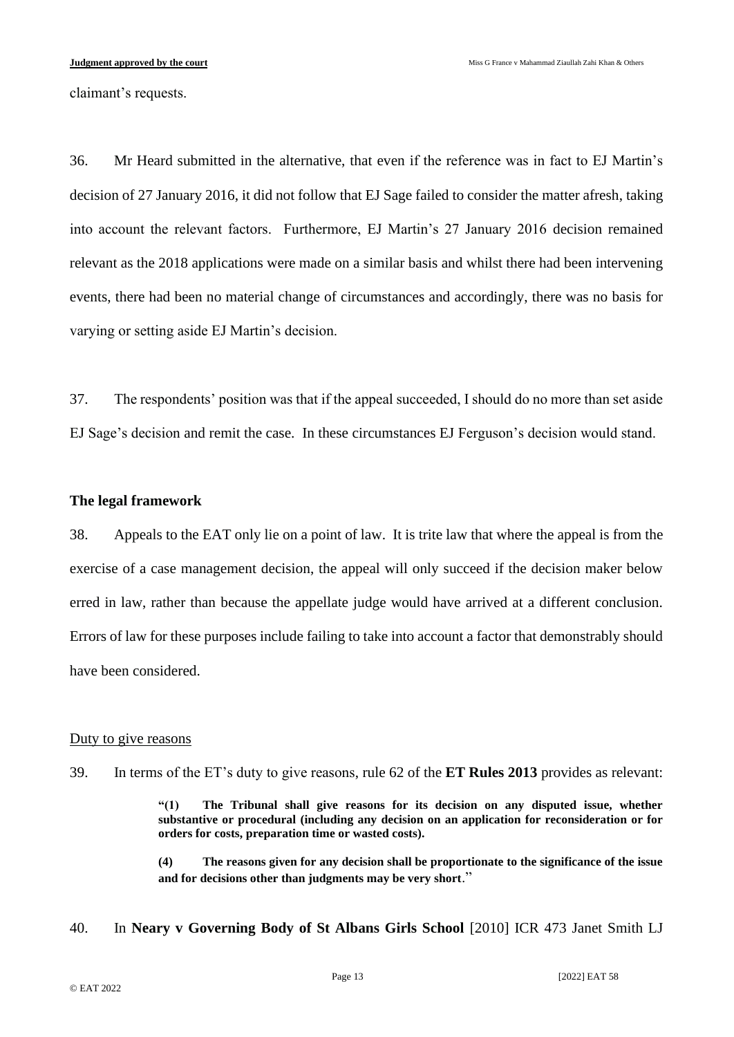claimant's requests.

36. Mr Heard submitted in the alternative, that even if the reference was in fact to EJ Martin's decision of 27 January 2016, it did not follow that EJ Sage failed to consider the matter afresh, taking into account the relevant factors. Furthermore, EJ Martin's 27 January 2016 decision remained relevant as the 2018 applications were made on a similar basis and whilst there had been intervening events, there had been no material change of circumstances and accordingly, there was no basis for varying or setting aside EJ Martin's decision.

37. The respondents' position was that if the appeal succeeded, I should do no more than set aside EJ Sage's decision and remit the case. In these circumstances EJ Ferguson's decision would stand.

## **The legal framework**

38. Appeals to the EAT only lie on a point of law. It is trite law that where the appeal is from the exercise of a case management decision, the appeal will only succeed if the decision maker below erred in law, rather than because the appellate judge would have arrived at a different conclusion. Errors of law for these purposes include failing to take into account a factor that demonstrably should have been considered.

## Duty to give reasons

39. In terms of the ET's duty to give reasons, rule 62 of the **ET Rules 2013** provides as relevant:

**"(1) The Tribunal shall give reasons for its decision on any disputed issue, whether substantive or procedural (including any decision on an application for reconsideration or for orders for costs, preparation time or wasted costs).**

**(4) The reasons given for any decision shall be proportionate to the significance of the issue and for decisions other than judgments may be very short**."

40. In **Neary v Governing Body of St Albans Girls School** [2010] ICR 473 Janet Smith LJ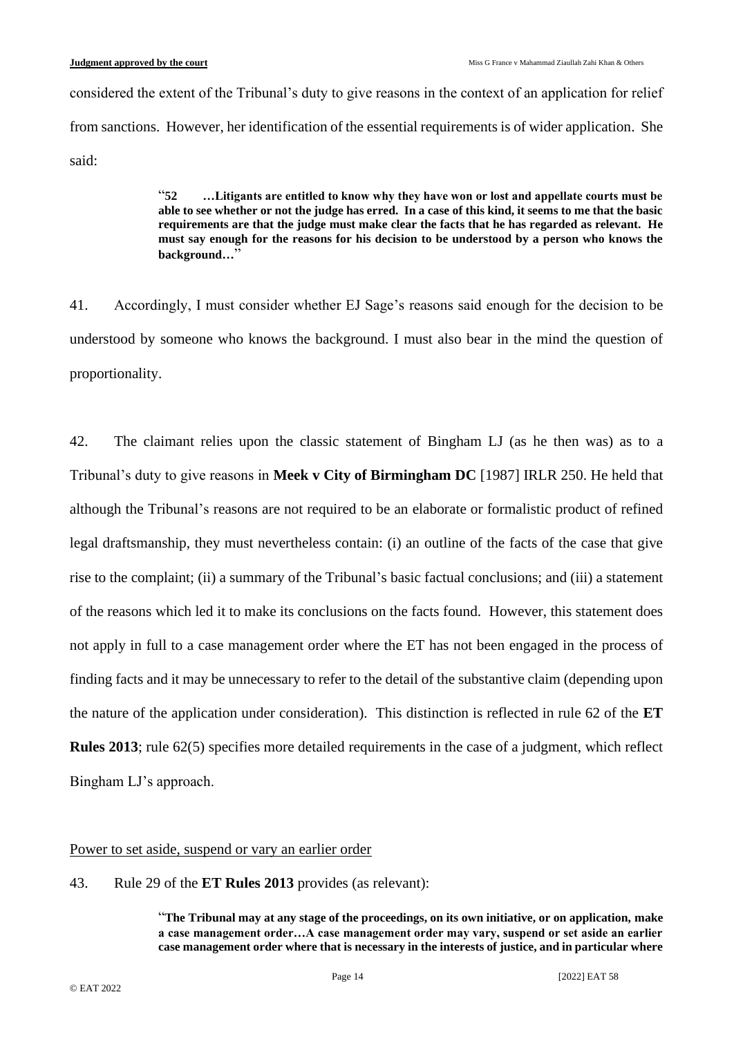considered the extent of the Tribunal's duty to give reasons in the context of an application for relief from sanctions. However, her identification of the essential requirements is of wider application. She said:

> "**52 …Litigants are entitled to know why they have won or lost and appellate courts must be able to see whether or not the judge has erred. In a case of this kind, it seems to me that the basic requirements are that the judge must make clear the facts that he has regarded as relevant. He must say enough for the reasons for his decision to be understood by a person who knows the background…**"

41. Accordingly, I must consider whether EJ Sage's reasons said enough for the decision to be understood by someone who knows the background. I must also bear in the mind the question of proportionality.

42. The claimant relies upon the classic statement of Bingham LJ (as he then was) as to a Tribunal's duty to give reasons in **Meek v City of Birmingham DC** [1987] IRLR 250. He held that although the Tribunal's reasons are not required to be an elaborate or formalistic product of refined legal draftsmanship, they must nevertheless contain: (i) an outline of the facts of the case that give rise to the complaint; (ii) a summary of the Tribunal's basic factual conclusions; and (iii) a statement of the reasons which led it to make its conclusions on the facts found. However, this statement does not apply in full to a case management order where the ET has not been engaged in the process of finding facts and it may be unnecessary to refer to the detail of the substantive claim (depending upon the nature of the application under consideration). This distinction is reflected in rule 62 of the **ET Rules 2013**; rule 62(5) specifies more detailed requirements in the case of a judgment, which reflect Bingham LJ's approach.

## Power to set aside, suspend or vary an earlier order

43. Rule 29 of the **ET Rules 2013** provides (as relevant):

"**The Tribunal may at any stage of the proceedings, on its own initiative, or on application, make a case management order…A case management order may vary, suspend or set aside an earlier case management order where that is necessary in the interests of justice, and in particular where**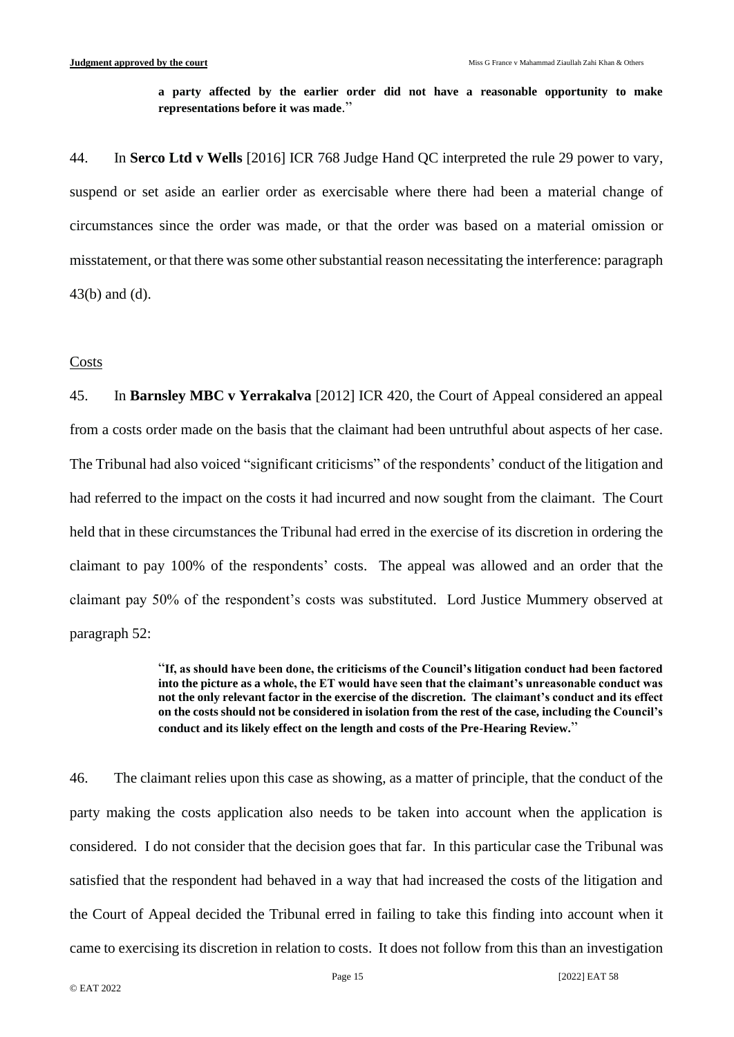**a party affected by the earlier order did not have a reasonable opportunity to make representations before it was made**."

44. In **Serco Ltd v Wells** [2016] ICR 768 Judge Hand QC interpreted the rule 29 power to vary, suspend or set aside an earlier order as exercisable where there had been a material change of circumstances since the order was made, or that the order was based on a material omission or misstatement, or that there was some other substantial reason necessitating the interference: paragraph 43(b) and (d).

#### Costs

45. In **Barnsley MBC v Yerrakalva** [2012] ICR 420, the Court of Appeal considered an appeal from a costs order made on the basis that the claimant had been untruthful about aspects of her case. The Tribunal had also voiced "significant criticisms" of the respondents' conduct of the litigation and had referred to the impact on the costs it had incurred and now sought from the claimant. The Court held that in these circumstances the Tribunal had erred in the exercise of its discretion in ordering the claimant to pay 100% of the respondents' costs. The appeal was allowed and an order that the claimant pay 50% of the respondent's costs was substituted. Lord Justice Mummery observed at paragraph 52:

> "**If, as should have been done, the criticisms of the Council's litigation conduct had been factored into the picture as a whole, the ET would have seen that the claimant's unreasonable conduct was not the only relevant factor in the exercise of the discretion. The claimant's conduct and its effect on the costs should not be considered in isolation from the rest of the case, including the Council's conduct and its likely effect on the length and costs of the Pre-Hearing Review.**"

46. The claimant relies upon this case as showing, as a matter of principle, that the conduct of the party making the costs application also needs to be taken into account when the application is considered. I do not consider that the decision goes that far. In this particular case the Tribunal was satisfied that the respondent had behaved in a way that had increased the costs of the litigation and the Court of Appeal decided the Tribunal erred in failing to take this finding into account when it came to exercising its discretion in relation to costs. It does not follow from this than an investigation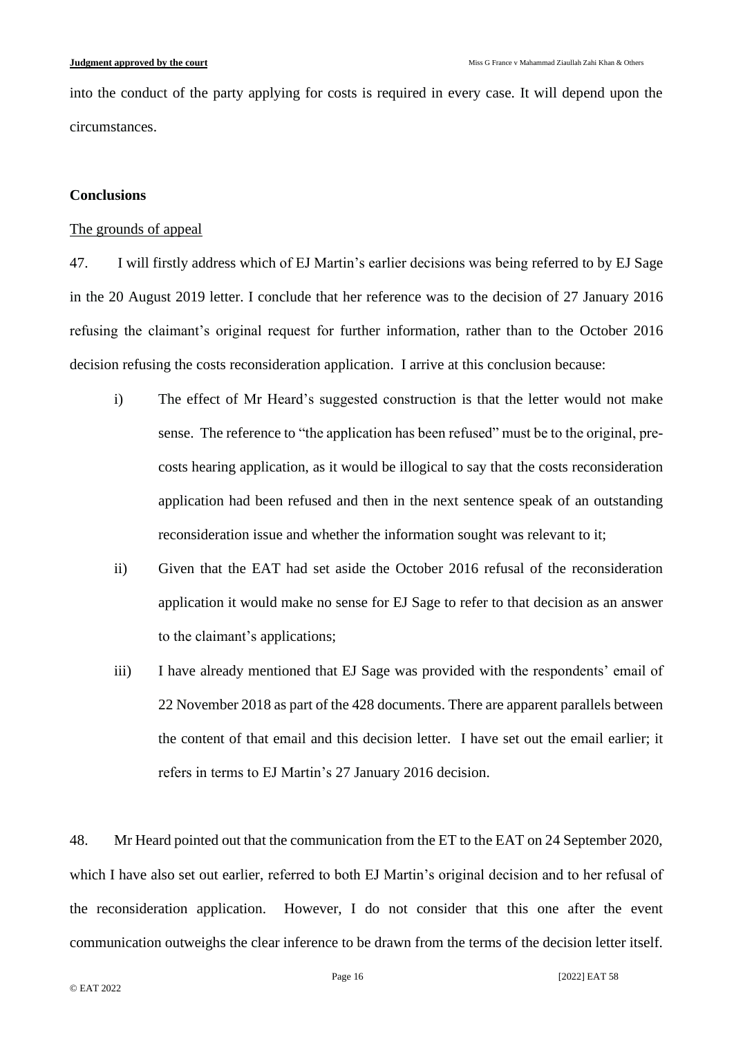into the conduct of the party applying for costs is required in every case. It will depend upon the circumstances.

## **Conclusions**

## The grounds of appeal

47. I will firstly address which of EJ Martin's earlier decisions was being referred to by EJ Sage in the 20 August 2019 letter. I conclude that her reference was to the decision of 27 January 2016 refusing the claimant's original request for further information, rather than to the October 2016 decision refusing the costs reconsideration application. I arrive at this conclusion because:

- i) The effect of Mr Heard's suggested construction is that the letter would not make sense. The reference to "the application has been refused" must be to the original, precosts hearing application, as it would be illogical to say that the costs reconsideration application had been refused and then in the next sentence speak of an outstanding reconsideration issue and whether the information sought was relevant to it;
- ii) Given that the EAT had set aside the October 2016 refusal of the reconsideration application it would make no sense for EJ Sage to refer to that decision as an answer to the claimant's applications;
- iii) I have already mentioned that EJ Sage was provided with the respondents' email of 22 November 2018 as part of the 428 documents. There are apparent parallels between the content of that email and this decision letter. I have set out the email earlier; it refers in terms to EJ Martin's 27 January 2016 decision.

48. Mr Heard pointed out that the communication from the ET to the EAT on 24 September 2020, which I have also set out earlier, referred to both EJ Martin's original decision and to her refusal of the reconsideration application. However, I do not consider that this one after the event communication outweighs the clear inference to be drawn from the terms of the decision letter itself.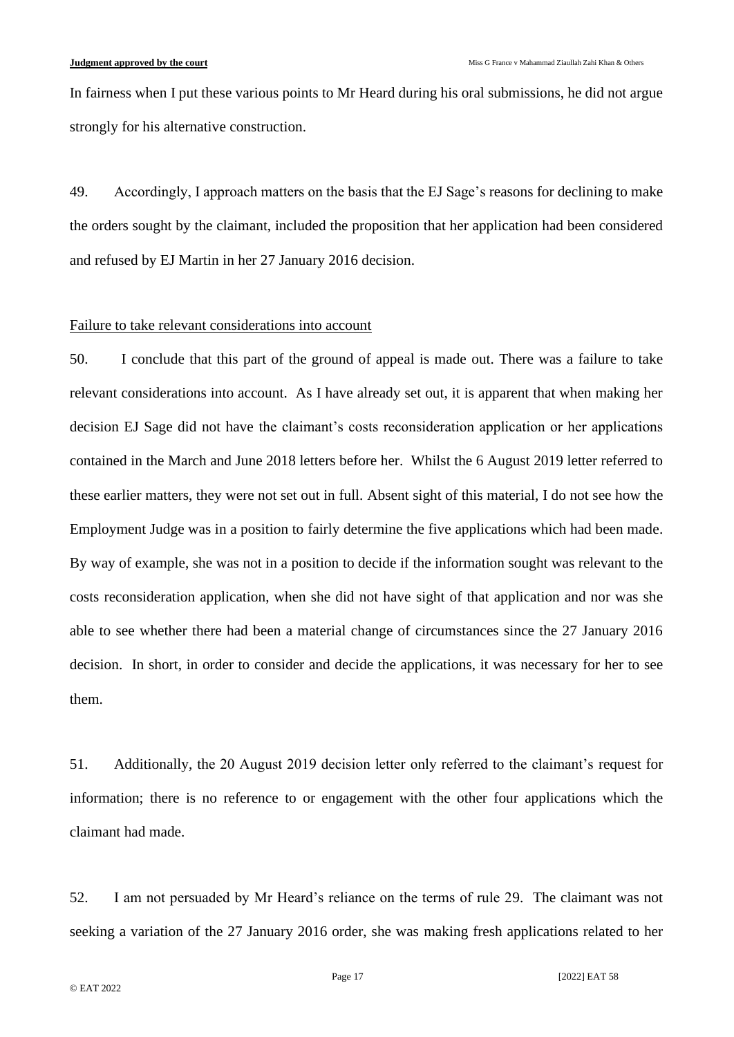In fairness when I put these various points to Mr Heard during his oral submissions, he did not argue strongly for his alternative construction.

49. Accordingly, I approach matters on the basis that the EJ Sage's reasons for declining to make the orders sought by the claimant, included the proposition that her application had been considered and refused by EJ Martin in her 27 January 2016 decision.

#### Failure to take relevant considerations into account

50. I conclude that this part of the ground of appeal is made out. There was a failure to take relevant considerations into account. As I have already set out, it is apparent that when making her decision EJ Sage did not have the claimant's costs reconsideration application or her applications contained in the March and June 2018 letters before her. Whilst the 6 August 2019 letter referred to these earlier matters, they were not set out in full. Absent sight of this material, I do not see how the Employment Judge was in a position to fairly determine the five applications which had been made. By way of example, she was not in a position to decide if the information sought was relevant to the costs reconsideration application, when she did not have sight of that application and nor was she able to see whether there had been a material change of circumstances since the 27 January 2016 decision. In short, in order to consider and decide the applications, it was necessary for her to see them.

51. Additionally, the 20 August 2019 decision letter only referred to the claimant's request for information; there is no reference to or engagement with the other four applications which the claimant had made.

52. I am not persuaded by Mr Heard's reliance on the terms of rule 29. The claimant was not seeking a variation of the 27 January 2016 order, she was making fresh applications related to her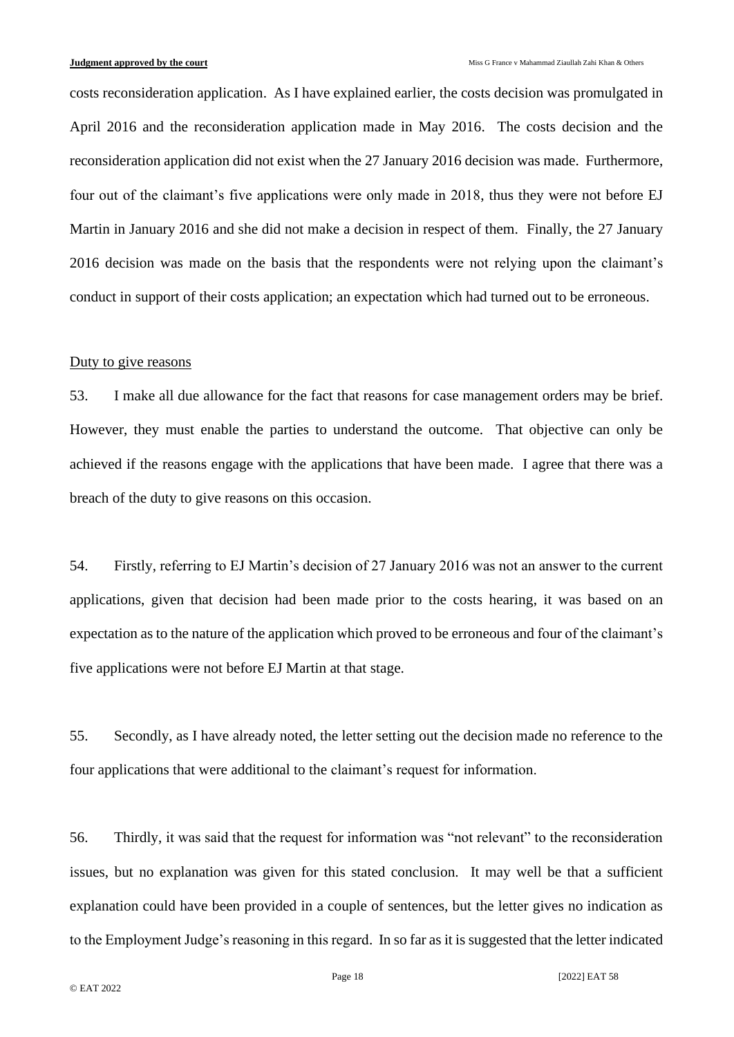costs reconsideration application. As I have explained earlier, the costs decision was promulgated in April 2016 and the reconsideration application made in May 2016. The costs decision and the reconsideration application did not exist when the 27 January 2016 decision was made. Furthermore, four out of the claimant's five applications were only made in 2018, thus they were not before EJ Martin in January 2016 and she did not make a decision in respect of them. Finally, the 27 January 2016 decision was made on the basis that the respondents were not relying upon the claimant's conduct in support of their costs application; an expectation which had turned out to be erroneous.

#### Duty to give reasons

53. I make all due allowance for the fact that reasons for case management orders may be brief. However, they must enable the parties to understand the outcome. That objective can only be achieved if the reasons engage with the applications that have been made. I agree that there was a breach of the duty to give reasons on this occasion.

54. Firstly, referring to EJ Martin's decision of 27 January 2016 was not an answer to the current applications, given that decision had been made prior to the costs hearing, it was based on an expectation as to the nature of the application which proved to be erroneous and four of the claimant's five applications were not before EJ Martin at that stage.

55. Secondly, as I have already noted, the letter setting out the decision made no reference to the four applications that were additional to the claimant's request for information.

56. Thirdly, it was said that the request for information was "not relevant" to the reconsideration issues, but no explanation was given for this stated conclusion. It may well be that a sufficient explanation could have been provided in a couple of sentences, but the letter gives no indication as to the Employment Judge's reasoning in this regard. In so far as it is suggested that the letter indicated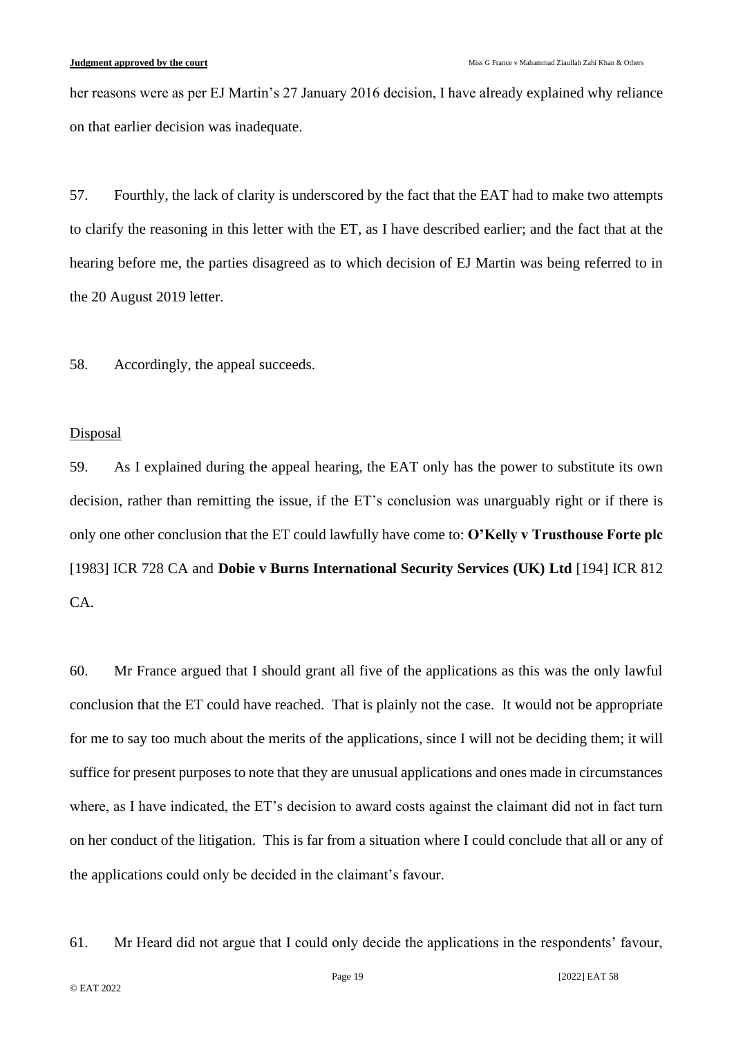her reasons were as per EJ Martin's 27 January 2016 decision, I have already explained why reliance on that earlier decision was inadequate.

57. Fourthly, the lack of clarity is underscored by the fact that the EAT had to make two attempts to clarify the reasoning in this letter with the ET, as I have described earlier; and the fact that at the hearing before me, the parties disagreed as to which decision of EJ Martin was being referred to in the 20 August 2019 letter.

58. Accordingly, the appeal succeeds.

#### **Disposal**

59. As I explained during the appeal hearing, the EAT only has the power to substitute its own decision, rather than remitting the issue, if the ET's conclusion was unarguably right or if there is only one other conclusion that the ET could lawfully have come to: **O'Kelly v Trusthouse Forte plc** [1983] ICR 728 CA and **Dobie v Burns International Security Services (UK) Ltd** [194] ICR 812 CA.

60. Mr France argued that I should grant all five of the applications as this was the only lawful conclusion that the ET could have reached. That is plainly not the case. It would not be appropriate for me to say too much about the merits of the applications, since I will not be deciding them; it will suffice for present purposes to note that they are unusual applications and ones made in circumstances where, as I have indicated, the ET's decision to award costs against the claimant did not in fact turn on her conduct of the litigation. This is far from a situation where I could conclude that all or any of the applications could only be decided in the claimant's favour.

61. Mr Heard did not argue that I could only decide the applications in the respondents' favour,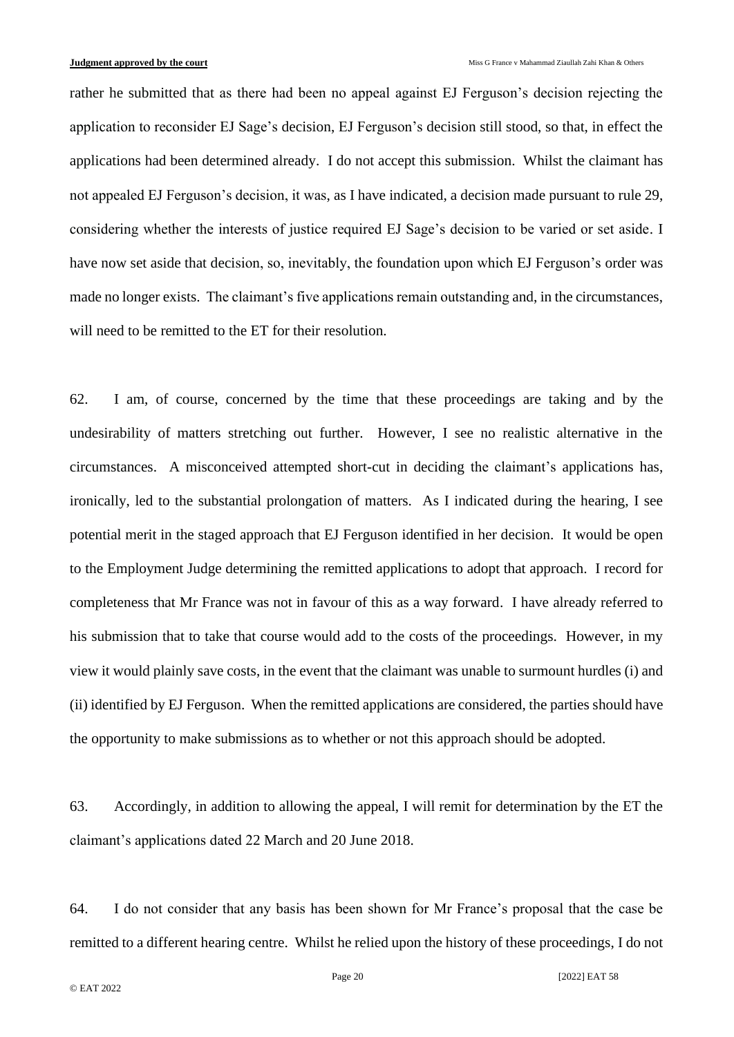rather he submitted that as there had been no appeal against EJ Ferguson's decision rejecting the application to reconsider EJ Sage's decision, EJ Ferguson's decision still stood, so that, in effect the applications had been determined already. I do not accept this submission. Whilst the claimant has not appealed EJ Ferguson's decision, it was, as I have indicated, a decision made pursuant to rule 29, considering whether the interests of justice required EJ Sage's decision to be varied or set aside. I have now set aside that decision, so, inevitably, the foundation upon which EJ Ferguson's order was made no longer exists. The claimant's five applications remain outstanding and, in the circumstances, will need to be remitted to the ET for their resolution.

62. I am, of course, concerned by the time that these proceedings are taking and by the undesirability of matters stretching out further. However, I see no realistic alternative in the circumstances. A misconceived attempted short-cut in deciding the claimant's applications has, ironically, led to the substantial prolongation of matters. As I indicated during the hearing, I see potential merit in the staged approach that EJ Ferguson identified in her decision. It would be open to the Employment Judge determining the remitted applications to adopt that approach. I record for completeness that Mr France was not in favour of this as a way forward. I have already referred to his submission that to take that course would add to the costs of the proceedings. However, in my view it would plainly save costs, in the event that the claimant was unable to surmount hurdles (i) and (ii) identified by EJ Ferguson. When the remitted applications are considered, the parties should have the opportunity to make submissions as to whether or not this approach should be adopted.

63. Accordingly, in addition to allowing the appeal, I will remit for determination by the ET the claimant's applications dated 22 March and 20 June 2018.

64. I do not consider that any basis has been shown for Mr France's proposal that the case be remitted to a different hearing centre. Whilst he relied upon the history of these proceedings, I do not